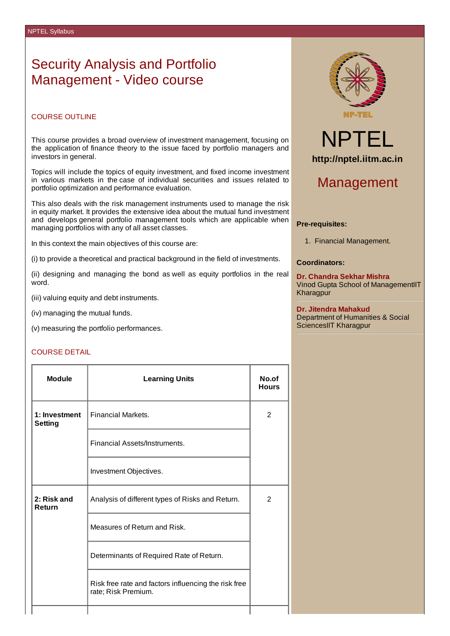## Security Analysis and Portfolio Management - Video course

### COURSE OUTLINE

This course provides a broad overview of investment management, focusing on the application of finance theory to the issue faced by portfolio managers and investors in general.

Topics will include the topics of equity investment, and fixed income investment in various markets in the case of individual securities and issues related to portfolio optimization and performance evaluation.

This also deals with the risk management instruments used to manage the risk in equity market. It provides the extensive idea about the mutual fund investment and develops general portfolio management tools which are applicable when managing portfolios with any of all asset classes.

In this context the main objectives of this course are:

(i) to provide a theoretical and practical background in the field of investments.

(ii) designing and managing the bond as well as equity portfolios in the real word.

(iii) valuing equity and debt instruments.

(iv) managing the mutual funds.

(v) measuring the portfolio performances.

### COURSE DETAIL

| Module                          | <b>Learning Units</b>                                                       | No.of<br><b>Hours</b> |
|---------------------------------|-----------------------------------------------------------------------------|-----------------------|
| 1: Investment<br><b>Setting</b> | <b>Financial Markets.</b>                                                   | 2                     |
|                                 | Financial Assets/Instruments.                                               |                       |
|                                 | Investment Objectives.                                                      |                       |
| 2: Risk and<br><b>Return</b>    | Analysis of different types of Risks and Return.                            | $\mathcal{P}$         |
|                                 | Measures of Return and Risk.                                                |                       |
|                                 | Determinants of Required Rate of Return.                                    |                       |
|                                 | Risk free rate and factors influencing the risk free<br>rate; Risk Premium. |                       |
|                                 |                                                                             |                       |



# NPTEL **http://nptel.iitm.ac.in**

### Management

### **Pre-requisites:**

1. Financial Management.

### **Coordinators:**

**Dr. Chandra Sekhar Mishra** Vinod Gupta School of ManagementIIT Kharagpur

#### **Dr. Jitendra Mahakud**

Department of Humanities & Social SciencesIIT Kharagpur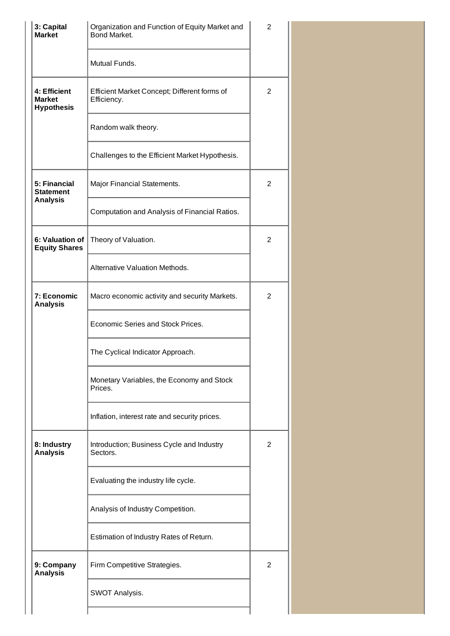| 3: Capital<br><b>Market</b>                        | Organization and Function of Equity Market and<br>Bond Market. |   |
|----------------------------------------------------|----------------------------------------------------------------|---|
|                                                    | Mutual Funds.                                                  |   |
| 4: Efficient<br><b>Market</b><br><b>Hypothesis</b> | Efficient Market Concept; Different forms of<br>Efficiency.    | 2 |
|                                                    | Random walk theory.                                            |   |
|                                                    | Challenges to the Efficient Market Hypothesis.                 |   |
| 5: Financial<br><b>Statement</b>                   | Major Financial Statements.                                    | 2 |
| <b>Analysis</b>                                    | Computation and Analysis of Financial Ratios.                  |   |
| 6: Valuation of<br><b>Equity Shares</b>            | Theory of Valuation.                                           | 2 |
|                                                    | Alternative Valuation Methods.                                 |   |
| 7: Economic<br><b>Analysis</b>                     | Macro economic activity and security Markets.                  | 2 |
|                                                    | Economic Series and Stock Prices.                              |   |
|                                                    | The Cyclical Indicator Approach.                               |   |
|                                                    | Monetary Variables, the Economy and Stock<br>Prices.           |   |
|                                                    | Inflation, interest rate and security prices.                  |   |
| 8: Industry<br><b>Analysis</b>                     | Introduction; Business Cycle and Industry<br>Sectors.          | 2 |
|                                                    | Evaluating the industry life cycle.                            |   |
|                                                    | Analysis of Industry Competition.                              |   |
|                                                    | Estimation of Industry Rates of Return.                        |   |
| 9: Company<br><b>Analysis</b>                      | Firm Competitive Strategies.                                   | 2 |
|                                                    | SWOT Analysis.                                                 |   |
|                                                    |                                                                |   |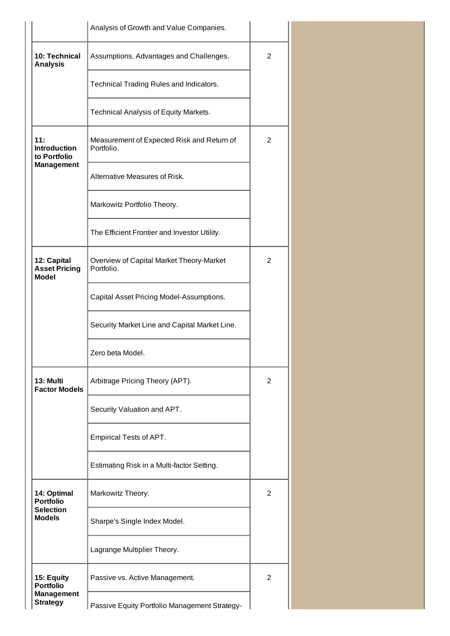|                                                     | Analysis of Growth and Value Companies.                  |                |  |
|-----------------------------------------------------|----------------------------------------------------------|----------------|--|
| 10: Technical<br><b>Analysis</b>                    | Assumptions, Advantages and Challenges.                  | 2              |  |
|                                                     | Technical Trading Rules and Indicators.                  |                |  |
|                                                     | Technical Analysis of Equity Markets.                    |                |  |
| 11:<br><b>Introduction</b><br>to Portfolio          | Measurement of Expected Risk and Return of<br>Portfolio. | 2              |  |
| <b>Management</b>                                   | Alternative Measures of Risk.                            |                |  |
|                                                     | Markowitz Portfolio Theory.                              |                |  |
|                                                     | The Efficient Frontier and Investor Utility.             |                |  |
| 12: Capital<br><b>Asset Pricing</b><br><b>Model</b> | Overview of Capital Market Theory-Market<br>Portfolio.   | 2              |  |
|                                                     | Capital Asset Pricing Model-Assumptions.                 |                |  |
|                                                     | Security Market Line and Capital Market Line.            |                |  |
|                                                     | Zero beta Model.                                         |                |  |
| 13: Multi<br><b>Factor Models</b>                   | Arbitrage Pricing Theory (APT).                          | 2              |  |
|                                                     | Security Valuation and APT.                              |                |  |
|                                                     | Empirical Tests of APT.                                  |                |  |
|                                                     | Estimating Risk in a Multi-factor Setting.               |                |  |
| 14: Optimal<br><b>Portfolio</b>                     | Markowitz Theory.                                        | 2              |  |
| <b>Selection</b><br><b>Models</b>                   | Sharpe's Single Index Model.                             |                |  |
|                                                     | Lagrange Multiplier Theory.                              |                |  |
| 15: Equity<br><b>Portfolio</b>                      | Passive vs. Active Management.                           | $\overline{c}$ |  |
| <b>Management</b><br><b>Strategy</b>                | Passive Equity Portfolio Management Strategy-            |                |  |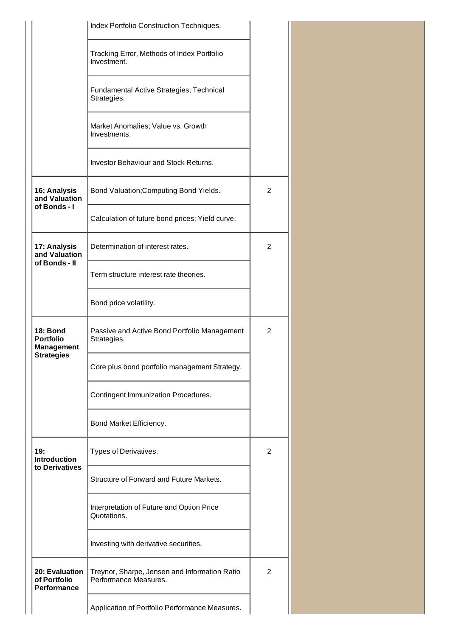|                                                   | Index Portfolio Construction Techniques.                               |                |  |
|---------------------------------------------------|------------------------------------------------------------------------|----------------|--|
|                                                   | Tracking Error, Methods of Index Portfolio<br>Investment.              |                |  |
|                                                   | Fundamental Active Strategies; Technical                               |                |  |
|                                                   | Strategies.                                                            |                |  |
|                                                   | Market Anomalies; Value vs. Growth<br>Investments.                     |                |  |
|                                                   | <b>Investor Behaviour and Stock Returns.</b>                           |                |  |
| 16: Analysis<br>and Valuation<br>of Bonds - I     | Bond Valuation; Computing Bond Yields.                                 | $\overline{c}$ |  |
|                                                   | Calculation of future bond prices; Yield curve.                        |                |  |
| 17: Analysis<br>and Valuation<br>of Bonds - II    | Determination of interest rates.                                       | $\overline{2}$ |  |
|                                                   | Term structure interest rate theories.                                 |                |  |
|                                                   | Bond price volatility.                                                 |                |  |
| <b>18: Bond</b><br><b>Portfolio</b><br>Management | Passive and Active Bond Portfolio Management<br>Strategies.            | $\overline{2}$ |  |
| <b>Strategies</b>                                 | Core plus bond portfolio management Strategy.                          |                |  |
|                                                   | Contingent Immunization Procedures.                                    |                |  |
|                                                   | Bond Market Efficiency.                                                |                |  |
| 19:<br><b>Introduction</b><br>to Derivatives      | Types of Derivatives.                                                  | $\overline{2}$ |  |
|                                                   | Structure of Forward and Future Markets.                               |                |  |
|                                                   | Interpretation of Future and Option Price<br>Quotations.               |                |  |
|                                                   | Investing with derivative securities.                                  |                |  |
| 20: Evaluation<br>of Portfolio<br>Performance     | Treynor, Sharpe, Jensen and Information Ratio<br>Performance Measures. | 2              |  |
|                                                   | Application of Portfolio Performance Measures.                         |                |  |